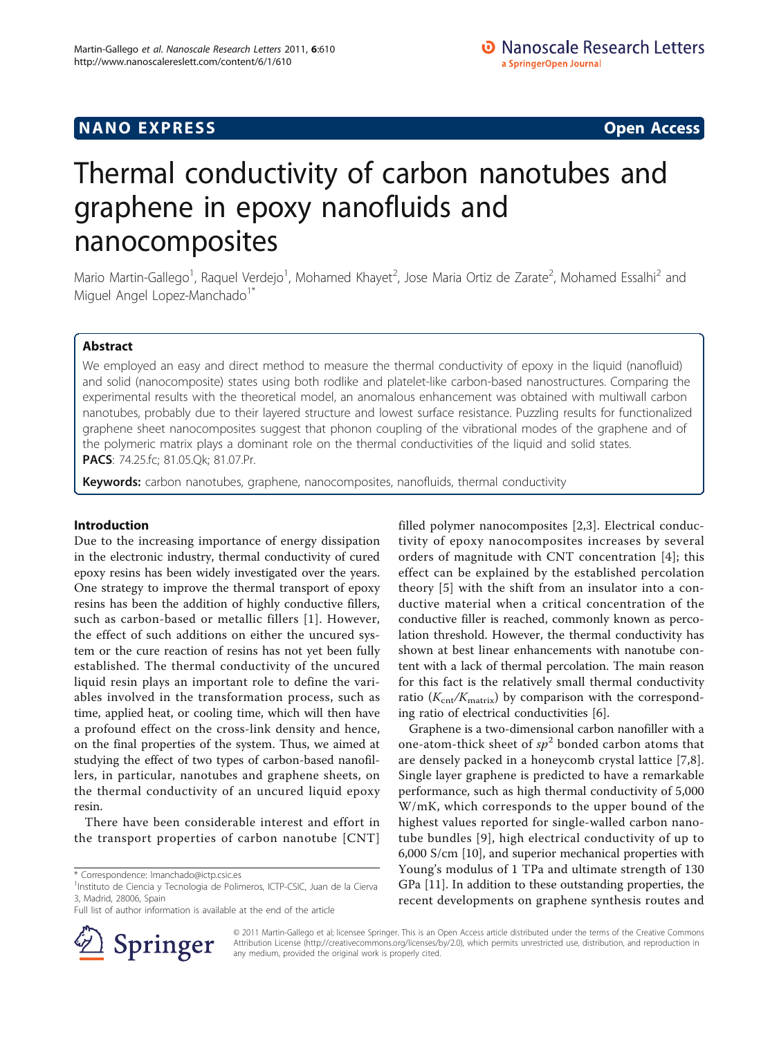## **NANO EXPRESS** Open Access and the set of the set of the set of the set of the set of the set of the set of the set of the set of the set of the set of the set of the set of the set of the set of the set of the set of the

# Thermal conductivity of carbon nanotubes and graphene in epoxy nanofluids and nanocomposites

Mario Martin-Gallego<sup>1</sup>, Raquel Verdejo<sup>1</sup>, Mohamed Khayet<sup>2</sup>, Jose Maria Ortiz de Zarate<sup>2</sup>, Mohamed Essalhi<sup>2</sup> and Miguel Angel Lopez-Manchado<sup>1\*</sup>

## Abstract

We employed an easy and direct method to measure the thermal conductivity of epoxy in the liquid (nanofluid) and solid (nanocomposite) states using both rodlike and platelet-like carbon-based nanostructures. Comparing the experimental results with the theoretical model, an anomalous enhancement was obtained with multiwall carbon nanotubes, probably due to their layered structure and lowest surface resistance. Puzzling results for functionalized graphene sheet nanocomposites suggest that phonon coupling of the vibrational modes of the graphene and of the polymeric matrix plays a dominant role on the thermal conductivities of the liquid and solid states. PACS: 74.25.fc; 81.05.Qk; 81.07.Pr.

Keywords: carbon nanotubes, graphene, nanocomposites, nanofluids, thermal conductivity

#### Introduction

Due to the increasing importance of energy dissipation in the electronic industry, thermal conductivity of cured epoxy resins has been widely investigated over the years. One strategy to improve the thermal transport of epoxy resins has been the addition of highly conductive fillers, such as carbon-based or metallic fillers [[1\]](#page-5-0). However, the effect of such additions on either the uncured system or the cure reaction of resins has not yet been fully established. The thermal conductivity of the uncured liquid resin plays an important role to define the variables involved in the transformation process, such as time, applied heat, or cooling time, which will then have a profound effect on the cross-link density and hence, on the final properties of the system. Thus, we aimed at studying the effect of two types of carbon-based nanofillers, in particular, nanotubes and graphene sheets, on the thermal conductivity of an uncured liquid epoxy resin.

There have been considerable interest and effort in the transport properties of carbon nanotube [CNT]

Full list of author information is available at the end of the article



filled polymer nanocomposites [[2,3](#page-5-0)]. Electrical conductivity of epoxy nanocomposites increases by several orders of magnitude with CNT concentration [[4\]](#page-5-0); this effect can be explained by the established percolation theory [[5\]](#page-5-0) with the shift from an insulator into a conductive material when a critical concentration of the conductive filler is reached, commonly known as percolation threshold. However, the thermal conductivity has shown at best linear enhancements with nanotube content with a lack of thermal percolation. The main reason for this fact is the relatively small thermal conductivity ratio ( $K_{\text{cnt}}/K_{\text{matrix}}$ ) by comparison with the corresponding ratio of electrical conductivities [\[6\]](#page-5-0).

Graphene is a two-dimensional carbon nanofiller with a one-atom-thick sheet of  $sp^2$  bonded carbon atoms that are densely packed in a honeycomb crystal lattice [[7,8](#page-5-0)]. Single layer graphene is predicted to have a remarkable performance, such as high thermal conductivity of 5,000 W/mK, which corresponds to the upper bound of the highest values reported for single-walled carbon nanotube bundles [[9\]](#page-5-0), high electrical conductivity of up to 6,000 S/cm [\[10\]](#page-5-0), and superior mechanical properties with Young's modulus of 1 TPa and ultimate strength of 130 GPa [[11\]](#page-5-0). In addition to these outstanding properties, the recent developments on graphene synthesis routes and

© 2011 Martin-Gallego et al; licensee Springer. This is an Open Access article distributed under the terms of the Creative Commons Attribution License [\(http://creativecommons.org/licenses/by/2.0](http://creativecommons.org/licenses/by/2.0)), which permits unrestricted use, distribution, and reproduction in any medium, provided the original work is properly cited.

<sup>\*</sup> Correspondence: [lmanchado@ictp.csic.es](mailto:lmanchado@ictp.csic.es)

<sup>&</sup>lt;sup>1</sup>Instituto de Ciencia y Tecnologia de Polimeros, ICTP-CSIC, Juan de la Cierva 3, Madrid, 28006, Spain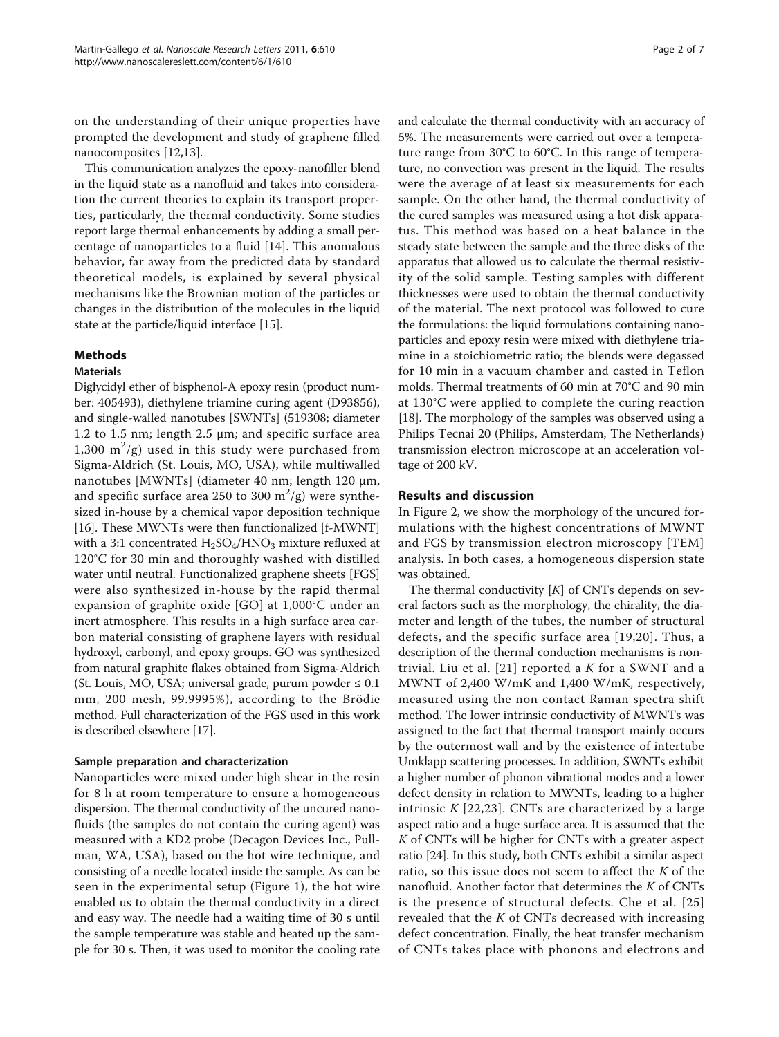on the understanding of their unique properties have prompted the development and study of graphene filled nanocomposites [\[12,13\]](#page-5-0).

This communication analyzes the epoxy-nanofiller blend in the liquid state as a nanofluid and takes into consideration the current theories to explain its transport properties, particularly, the thermal conductivity. Some studies report large thermal enhancements by adding a small percentage of nanoparticles to a fluid [\[14](#page-5-0)]. This anomalous behavior, far away from the predicted data by standard theoretical models, is explained by several physical mechanisms like the Brownian motion of the particles or changes in the distribution of the molecules in the liquid state at the particle/liquid interface [\[15](#page-5-0)].

## Methods

## Materials

Diglycidyl ether of bisphenol-A epoxy resin (product number: 405493), diethylene triamine curing agent (D93856), and single-walled nanotubes [SWNTs] (519308; diameter 1.2 to 1.5 nm; length 2.5 μm; and specific surface area 1,300  $m^2/g$ ) used in this study were purchased from Sigma-Aldrich (St. Louis, MO, USA), while multiwalled nanotubes [MWNTs] (diameter 40 nm; length 120 μm, and specific surface area 250 to 300  $m^2/g$ ) were synthesized in-house by a chemical vapor deposition technique [[16](#page-5-0)]. These MWNTs were then functionalized [f-MWNT] with a 3:1 concentrated  $H_2SO_4/HNO_3$  mixture refluxed at 120°C for 30 min and thoroughly washed with distilled water until neutral. Functionalized graphene sheets [FGS] were also synthesized in-house by the rapid thermal expansion of graphite oxide [GO] at 1,000°C under an inert atmosphere. This results in a high surface area carbon material consisting of graphene layers with residual hydroxyl, carbonyl, and epoxy groups. GO was synthesized from natural graphite flakes obtained from Sigma-Aldrich (St. Louis, MO, USA; universal grade, purum powder  $\leq 0.1$ mm, 200 mesh, 99.9995%), according to the Brödie method. Full characterization of the FGS used in this work is described elsewhere [\[17](#page-5-0)].

#### Sample preparation and characterization

Nanoparticles were mixed under high shear in the resin for 8 h at room temperature to ensure a homogeneous dispersion. The thermal conductivity of the uncured nanofluids (the samples do not contain the curing agent) was measured with a KD2 probe (Decagon Devices Inc., Pullman, WA, USA), based on the hot wire technique, and consisting of a needle located inside the sample. As can be seen in the experimental setup (Figure [1\)](#page-2-0), the hot wire enabled us to obtain the thermal conductivity in a direct and easy way. The needle had a waiting time of 30 s until the sample temperature was stable and heated up the sample for 30 s. Then, it was used to monitor the cooling rate and calculate the thermal conductivity with an accuracy of 5%. The measurements were carried out over a temperature range from 30°C to 60°C. In this range of temperature, no convection was present in the liquid. The results were the average of at least six measurements for each sample. On the other hand, the thermal conductivity of the cured samples was measured using a hot disk apparatus. This method was based on a heat balance in the steady state between the sample and the three disks of the apparatus that allowed us to calculate the thermal resistivity of the solid sample. Testing samples with different thicknesses were used to obtain the thermal conductivity of the material. The next protocol was followed to cure the formulations: the liquid formulations containing nanoparticles and epoxy resin were mixed with diethylene triamine in a stoichiometric ratio; the blends were degassed for 10 min in a vacuum chamber and casted in Teflon molds. Thermal treatments of 60 min at 70°C and 90 min at 130°C were applied to complete the curing reaction [[18](#page-5-0)]. The morphology of the samples was observed using a Philips Tecnai 20 (Philips, Amsterdam, The Netherlands) transmission electron microscope at an acceleration voltage of 200 kV.

## Results and discussion

In Figure [2,](#page-2-0) we show the morphology of the uncured formulations with the highest concentrations of MWNT and FGS by transmission electron microscopy [TEM] analysis. In both cases, a homogeneous dispersion state was obtained.

The thermal conductivity  $[K]$  of CNTs depends on several factors such as the morphology, the chirality, the diameter and length of the tubes, the number of structural defects, and the specific surface area [[19,20\]](#page-5-0). Thus, a description of the thermal conduction mechanisms is non-trivial. Liu et al. [[21](#page-6-0)] reported a  $K$  for a SWNT and a MWNT of 2,400 W/mK and 1,400 W/mK, respectively, measured using the non contact Raman spectra shift method. The lower intrinsic conductivity of MWNTs was assigned to the fact that thermal transport mainly occurs by the outermost wall and by the existence of intertube Umklapp scattering processes. In addition, SWNTs exhibit a higher number of phonon vibrational modes and a lower defect density in relation to MWNTs, leading to a higher intrinsic  $K$  [[22,23\]](#page-6-0). CNTs are characterized by a large aspect ratio and a huge surface area. It is assumed that the K of CNTs will be higher for CNTs with a greater aspect ratio [[24](#page-6-0)]. In this study, both CNTs exhibit a similar aspect ratio, so this issue does not seem to affect the  $K$  of the nanofluid. Another factor that determines the  $K$  of CNTs is the presence of structural defects. Che et al. [[25](#page-6-0)] revealed that the  $K$  of CNTs decreased with increasing defect concentration. Finally, the heat transfer mechanism of CNTs takes place with phonons and electrons and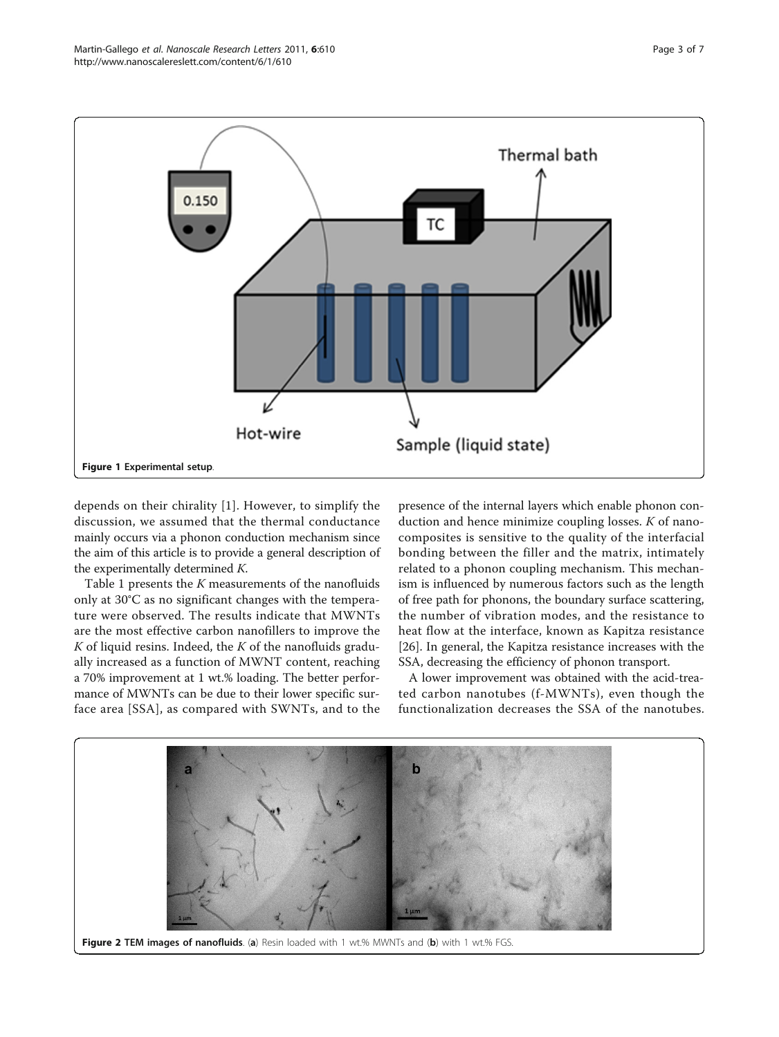<span id="page-2-0"></span>

depends on their chirality [\[1](#page-5-0)]. However, to simplify the discussion, we assumed that the thermal conductance mainly occurs via a phonon conduction mechanism since the aim of this article is to provide a general description of the experimentally determined K.

Table [1](#page-3-0) presents the  $K$  measurements of the nanofluids only at 30°C as no significant changes with the temperature were observed. The results indicate that MWNTs are the most effective carbon nanofillers to improve the  $K$  of liquid resins. Indeed, the  $K$  of the nanofluids gradually increased as a function of MWNT content, reaching a 70% improvement at 1 wt.% loading. The better performance of MWNTs can be due to their lower specific surface area [SSA], as compared with SWNTs, and to the

presence of the internal layers which enable phonon conduction and hence minimize coupling losses. K of nanocomposites is sensitive to the quality of the interfacial bonding between the filler and the matrix, intimately related to a phonon coupling mechanism. This mechanism is influenced by numerous factors such as the length of free path for phonons, the boundary surface scattering, the number of vibration modes, and the resistance to heat flow at the interface, known as Kapitza resistance [[26\]](#page-6-0). In general, the Kapitza resistance increases with the SSA, decreasing the efficiency of phonon transport.

A lower improvement was obtained with the acid-treated carbon nanotubes (f-MWNTs), even though the functionalization decreases the SSA of the nanotubes.

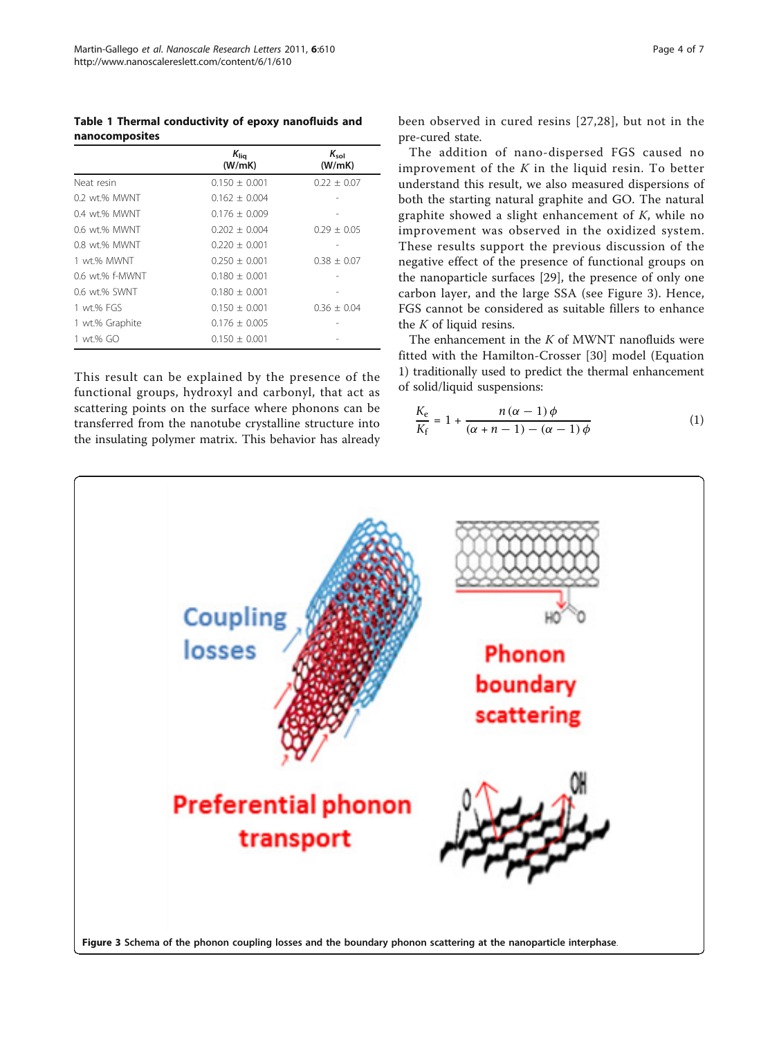<span id="page-3-0"></span>Table 1 Thermal conductivity of epoxy nanofluids and nanocomposites

|                 | $K_{\text{lia}}$<br>(W/mK) | $K_{\text{coll}}$<br>(W/mK) |
|-----------------|----------------------------|-----------------------------|
| Neat resin      | $0.150 + 0.001$            | $0.22 + 0.07$               |
| 0.2 wt.% MWNT   | $0.162 + 0.004$            |                             |
| 0.4 wt.% MWNT   | $0.176 + 0.009$            |                             |
| 0.6 wt.% MWNT   | $0.202 + 0.004$            | $0.29 + 0.05$               |
| 0.8 wt% MWNT    | $0.220 + 0.001$            |                             |
| 1 wt.% MWNT     | $0.250 + 0.001$            | $0.38 + 0.07$               |
| 0.6 wt.% f-MWNT | $0.180 + 0.001$            |                             |
| 0.6 wt% SWNT    | $0.180 + 0.001$            |                             |
| 1 wt.% FGS      | $0.150 + 0.001$            | $0.36 \pm 0.04$             |
| 1 wt.% Graphite | $0.176 + 0.005$            |                             |
| 1 wt.% GO       | $0.150 + 0.001$            |                             |

This result can be explained by the presence of the functional groups, hydroxyl and carbonyl, that act as scattering points on the surface where phonons can be transferred from the nanotube crystalline structure into the insulating polymer matrix. This behavior has already

The addition of nano-dispersed FGS caused no improvement of the  $K$  in the liquid resin. To better understand this result, we also measured dispersions of both the starting natural graphite and GO. The natural graphite showed a slight enhancement of  $K$ , while no improvement was observed in the oxidized system. These results support the previous discussion of the negative effect of the presence of functional groups on the nanoparticle surfaces [[29\]](#page-6-0), the presence of only one carbon layer, and the large SSA (see Figure 3). Hence, FGS cannot be considered as suitable fillers to enhance the  $K$  of liquid resins.

The enhancement in the  $K$  of MWNT nanofluids were fitted with the Hamilton-Crosser [\[30](#page-6-0)] model (Equation 1) traditionally used to predict the thermal enhancement of solid/liquid suspensions:

$$
\frac{K_{\rm e}}{K_{\rm f}} = 1 + \frac{n(\alpha - 1)\phi}{(\alpha + n - 1) - (\alpha - 1)\phi} \tag{1}
$$

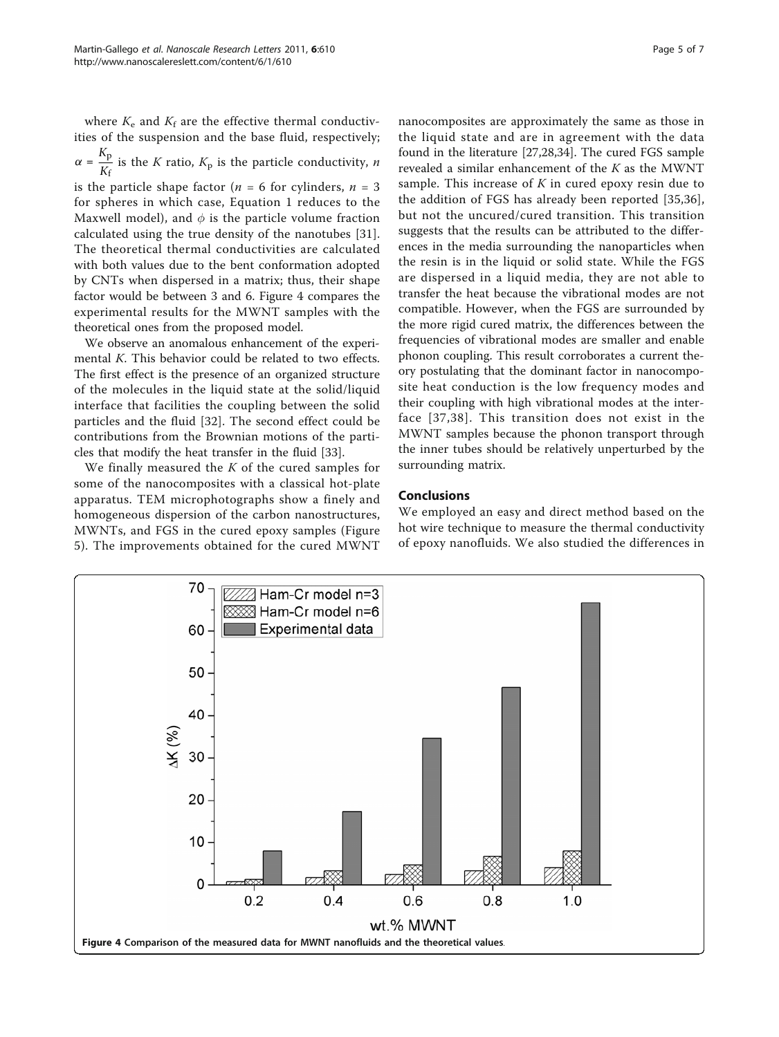where  $K_e$  and  $K_f$  are the effective thermal conductivities of the suspension and the base fluid, respectively;

 $\alpha = \frac{K_{\rm p}}{K_{\rm f}}$  is the *K* ratio,  $K_{\rm p}$  is the particle conductivity, *n* is the particle shape factor ( $n = 6$  for cylinders,  $n = 3$ 

for spheres in which case, Equation 1 reduces to the Maxwell model), and  $\phi$  is the particle volume fraction calculated using the true density of the nanotubes [[31](#page-6-0)]. The theoretical thermal conductivities are calculated with both values due to the bent conformation adopted by CNTs when dispersed in a matrix; thus, their shape factor would be between 3 and 6. Figure 4 compares the experimental results for the MWNT samples with the theoretical ones from the proposed model.

We observe an anomalous enhancement of the experimental K. This behavior could be related to two effects. The first effect is the presence of an organized structure of the molecules in the liquid state at the solid/liquid interface that facilities the coupling between the solid particles and the fluid [[32\]](#page-6-0). The second effect could be contributions from the Brownian motions of the particles that modify the heat transfer in the fluid [[33](#page-6-0)].

We finally measured the  $K$  of the cured samples for some of the nanocomposites with a classical hot-plate apparatus. TEM microphotographs show a finely and homogeneous dispersion of the carbon nanostructures, MWNTs, and FGS in the cured epoxy samples (Figure [5\)](#page-5-0). The improvements obtained for the cured MWNT

nanocomposites are approximately the same as those in the liquid state and are in agreement with the data found in the literature [\[27,28,34\]](#page-6-0). The cured FGS sample revealed a similar enhancement of the  $K$  as the MWNT sample. This increase of  $K$  in cured epoxy resin due to the addition of FGS has already been reported [[35,36](#page-6-0)], but not the uncured/cured transition. This transition suggests that the results can be attributed to the differences in the media surrounding the nanoparticles when the resin is in the liquid or solid state. While the FGS are dispersed in a liquid media, they are not able to transfer the heat because the vibrational modes are not compatible. However, when the FGS are surrounded by the more rigid cured matrix, the differences between the frequencies of vibrational modes are smaller and enable phonon coupling. This result corroborates a current theory postulating that the dominant factor in nanocomposite heat conduction is the low frequency modes and their coupling with high vibrational modes at the interface [[37,38](#page-6-0)]. This transition does not exist in the MWNT samples because the phonon transport through the inner tubes should be relatively unperturbed by the surrounding matrix.

### Conclusions

We employed an easy and direct method based on the hot wire technique to measure the thermal conductivity of epoxy nanofluids. We also studied the differences in

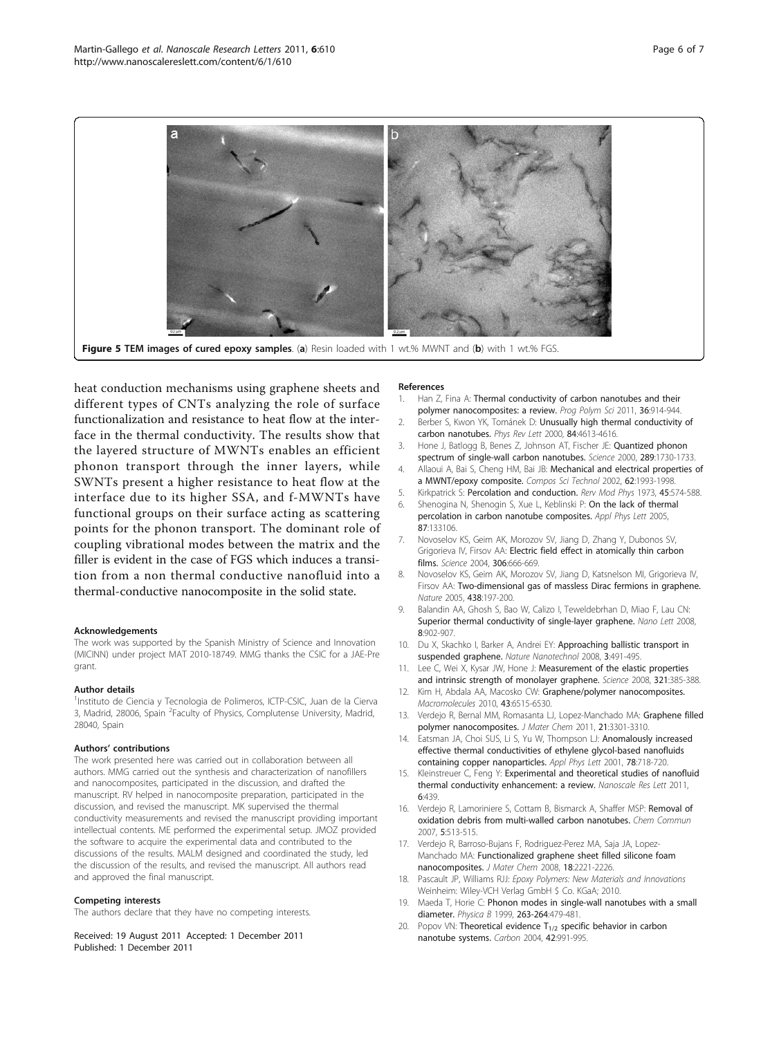<span id="page-5-0"></span>

heat conduction mechanisms using graphene sheets and different types of CNTs analyzing the role of surface functionalization and resistance to heat flow at the interface in the thermal conductivity. The results show that the layered structure of MWNTs enables an efficient phonon transport through the inner layers, while SWNTs present a higher resistance to heat flow at the interface due to its higher SSA, and f-MWNTs have functional groups on their surface acting as scattering points for the phonon transport. The dominant role of coupling vibrational modes between the matrix and the filler is evident in the case of FGS which induces a transition from a non thermal conductive nanofluid into a thermal-conductive nanocomposite in the solid state.

#### Acknowledgements

The work was supported by the Spanish Ministry of Science and Innovation (MICINN) under project MAT 2010-18749. MMG thanks the CSIC for a JAE-Pre grant.

#### Author details

<sup>1</sup>Instituto de Ciencia y Tecnologia de Polimeros, ICTP-CSIC, Juan de la Cierva 3, Madrid, 28006, Spain <sup>2</sup>Faculty of Physics, Complutense University, Madrid, 28040, Spain

#### Authors' contributions

The work presented here was carried out in collaboration between all authors. MMG carried out the synthesis and characterization of nanofillers and nanocomposites, participated in the discussion, and drafted the manuscript. RV helped in nanocomposite preparation, participated in the discussion, and revised the manuscript. MK supervised the thermal conductivity measurements and revised the manuscript providing important intellectual contents. ME performed the experimental setup. JMOZ provided the software to acquire the experimental data and contributed to the discussions of the results. MALM designed and coordinated the study, led the discussion of the results, and revised the manuscript. All authors read and approved the final manuscript.

#### Competing interests

The authors declare that they have no competing interests.

Received: 19 August 2011 Accepted: 1 December 2011 Published: 1 December 2011

#### References

- 1. Han Z, Fina A: Thermal conductivity of carbon nanotubes and their polymer nanocomposites: a review. Prog Polym Sci 2011, 36:914-944.
- 2. Berber S, Kwon YK, Tománek D: [Unusually high thermal conductivity of](http://www.ncbi.nlm.nih.gov/pubmed/10990753?dopt=Abstract) [carbon nanotubes.](http://www.ncbi.nlm.nih.gov/pubmed/10990753?dopt=Abstract) Phys Rev Lett 2000, 84:4613-4616.
- 3. Hone J, Batlogg B, Benes Z, Johnson AT, Fischer JE: [Quantized phonon](http://www.ncbi.nlm.nih.gov/pubmed/10976062?dopt=Abstract) [spectrum of single-wall carbon nanotubes.](http://www.ncbi.nlm.nih.gov/pubmed/10976062?dopt=Abstract) Science 2000, 289:1730-1733.
- 4. Allaoui A, Bai S, Cheng HM, Bai JB: Mechanical and electrical properties of a MWNT/epoxy composite. Compos Sci Technol 2002, 62:1993-1998.
- 5. Kirkpatrick S: Percolation and conduction. Rerv Mod Phys 1973, 45:574-588. Shenogina N, Shenogin S, Xue L, Keblinski P: On the lack of thermal percolation in carbon nanotube composites. Appl Phys Lett 2005, 87:133106.
- 7. Novoselov KS, Geim AK, Morozov SV, Jiang D, Zhang Y, Dubonos SV, Grigorieva IV, Firsov AA: [Electric field effect in atomically thin carbon](http://www.ncbi.nlm.nih.gov/pubmed/15499015?dopt=Abstract) [films.](http://www.ncbi.nlm.nih.gov/pubmed/15499015?dopt=Abstract) Science 2004, 306:666-669.
- 8. Novoselov KS, Geim AK, Morozov SV, Jiang D, Katsnelson MI, Grigorieva IV, Firsov AA: [Two-dimensional gas of massless Dirac fermions in graphene.](http://www.ncbi.nlm.nih.gov/pubmed/16281030?dopt=Abstract) Nature 2005, 438:197-200.
- 9. Balandin AA, Ghosh S, Bao W, Calizo I, Teweldebrhan D, Miao F, Lau CN: [Superior thermal conductivity of single-layer graphene.](http://www.ncbi.nlm.nih.gov/pubmed/18284217?dopt=Abstract) Nano Lett 2008, 8:902-907.
- 10. Du X, Skachko I, Barker A, Andrei EY: Approaching ballistic transport in suspended graphene. Nature Nanotechnol 2008, 3:491-495.
- 11. Lee C, Wei X, Kysar JW, Hone J: [Measurement of the elastic properties](http://www.ncbi.nlm.nih.gov/pubmed/18635798?dopt=Abstract) [and intrinsic strength of monolayer graphene.](http://www.ncbi.nlm.nih.gov/pubmed/18635798?dopt=Abstract) Science 2008, 321:385-388.
- 12. Kim H, Abdala AA, Macosko CW: Graphene/polymer nanocomposites. Macromolecules 2010, 43:6515-6530.
- 13. Verdejo R, Bernal MM, Romasanta LJ, Lopez-Manchado MA: Graphene filled polymer nanocomposites. J Mater Chem 2011, 21:3301-3310.
- 14. Eatsman JA, Choi SUS, Li S, Yu W, Thompson LJ: Anomalously increased effective thermal conductivities of ethylene glycol-based nanofluids containing copper nanoparticles. Appl Phys Lett 2001, 78:718-720.
- 15. Kleinstreuer C, Feng Y: [Experimental and theoretical studies of nanofluid](http://www.ncbi.nlm.nih.gov/pubmed/21722375?dopt=Abstract) [thermal conductivity enhancement: a review.](http://www.ncbi.nlm.nih.gov/pubmed/21722375?dopt=Abstract) Nanoscale Res Lett 2011, 6:439.
- 16. Verdejo R, Lamoriniere S, Cottam B, Bismarck A, Shaffer MSP: Removal of oxidation debris from multi-walled carbon nanotubes. Chem Commun 2007, 5:513-515.
- 17. Verdejo R, Barroso-Bujans F, Rodriguez-Perez MA, Saja JA, Lopez-Manchado MA: Functionalized graphene sheet filled silicone foam nanocomposites. J Mater Chem 2008, 18:2221-2226.
- 18. Pascault JP, Williams RJJ: Epoxy Polymers: New Materials and Innovations Weinheim: Wiley-VCH Verlag GmbH \$ Co. KGaA; 2010.
- 19. Maeda T, Horie C: Phonon modes in single-wall nanotubes with a small diameter. Physica B 1999, 263-264:479-481.
- 20. Popov VN: Theoretical evidence  $T_{1/2}$  specific behavior in carbon nanotube systems. Carbon 2004, 42:991-995.